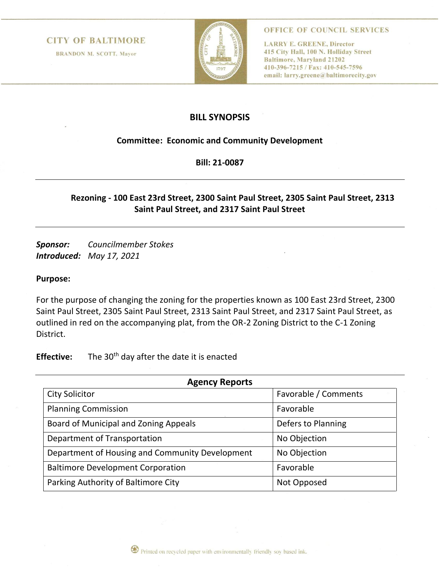#### **CITY OF BALTIMORE**

**BRANDON M. SCOTT, Mayor** 



OFFICE OF COUNCIL SERVICES

**LARRY E. GREENE, Director** 415 City Hall, 100 N. Holliday Street **Baltimore, Maryland 21202** 410-396-7215 / Fax: 410-545-7596 email: larry.greene@baltimorecity.gov

### **BILL SYNOPSIS**

#### **Committee: Economic and Community Development**

**Bill: 21-0087**

## **Rezoning - 100 East 23rd Street, 2300 Saint Paul Street, 2305 Saint Paul Street, 2313 Saint Paul Street, and 2317 Saint Paul Street**

*Sponsor: Councilmember Stokes Introduced: May 17, 2021*

#### **Purpose:**

For the purpose of changing the zoning for the properties known as 100 East 23rd Street, 2300 Saint Paul Street, 2305 Saint Paul Street, 2313 Saint Paul Street, and 2317 Saint Paul Street, as outlined in red on the accompanying plat, from the OR-2 Zoning District to the C-1 Zoning District.

**Effective:** The 30<sup>th</sup> day after the date it is enacted

| <b>Agency Reports</b>                           |                      |
|-------------------------------------------------|----------------------|
| <b>City Solicitor</b>                           | Favorable / Comments |
| <b>Planning Commission</b>                      | Favorable            |
| Board of Municipal and Zoning Appeals           | Defers to Planning   |
| Department of Transportation                    | No Objection         |
| Department of Housing and Community Development | No Objection         |
| <b>Baltimore Development Corporation</b>        | Favorable            |
| Parking Authority of Baltimore City             | Not Opposed          |

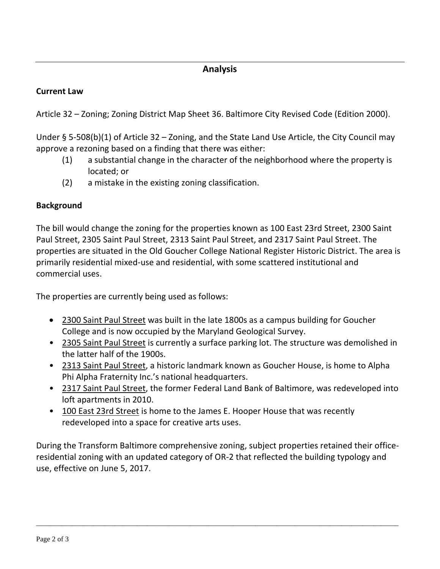# **Analysis**

# **Current Law**

Article 32 – Zoning; Zoning District Map Sheet 36. Baltimore City Revised Code (Edition 2000).

Under § 5-508(b)(1) of Article 32 – Zoning, and the State Land Use Article, the City Council may approve a rezoning based on a finding that there was either:

- (1) a substantial change in the character of the neighborhood where the property is located; or
- (2) a mistake in the existing zoning classification.

## **Background**

The bill would change the zoning for the properties known as 100 East 23rd Street, 2300 Saint Paul Street, 2305 Saint Paul Street, 2313 Saint Paul Street, and 2317 Saint Paul Street. The properties are situated in the Old Goucher College National Register Historic District. The area is primarily residential mixed-use and residential, with some scattered institutional and commercial uses.

The properties are currently being used as follows:

- 2300 Saint Paul Street was built in the late 1800s as a campus building for Goucher College and is now occupied by the Maryland Geological Survey.
- 2305 Saint Paul Street is currently a surface parking lot. The structure was demolished in the latter half of the 1900s.
- 2313 Saint Paul Street, a historic landmark known as Goucher House, is home to Alpha Phi Alpha Fraternity Inc.'s national headquarters.
- 2317 Saint Paul Street, the former Federal Land Bank of Baltimore, was redeveloped into loft apartments in 2010.
- 100 East 23rd Street is home to the James E. Hooper House that was recently redeveloped into a space for creative arts uses.

During the Transform Baltimore comprehensive zoning, subject properties retained their officeresidential zoning with an updated category of OR-2 that reflected the building typology and use, effective on June 5, 2017.

\_\_\_\_\_\_\_\_\_\_\_\_\_\_\_\_\_\_\_\_\_\_\_\_\_\_\_\_\_\_\_\_\_\_\_\_\_\_\_\_\_\_\_\_\_\_\_\_\_\_\_\_\_\_\_\_\_\_\_\_\_\_\_\_\_\_\_\_\_\_\_\_\_\_\_\_\_\_\_\_\_\_\_\_\_\_\_\_\_\_\_\_\_\_\_\_\_\_\_\_\_